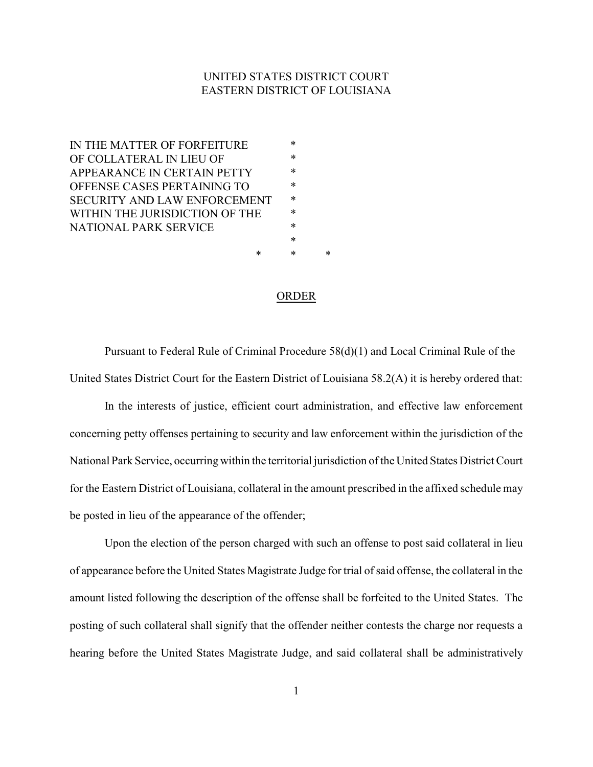#### UNITED STATES DISTRICT COURT EASTERN DISTRICT OF LOUISIANA

IN THE MATTER OF FORFEITURE  $*$ OF COLLATERAL IN LIEU OF \* APPEARANCE IN CERTAIN PETTY \* OFFENSE CASES PERTAINING TO \* SECURITY AND LAW ENFORCEMENT  $*$ WITHIN THE JURISDICTION OF THE  $*$ NATIONAL PARK SERVICE  $*$ \*

ORDER

\* \* \*

Pursuant to Federal Rule of Criminal Procedure 58(d)(1) and Local Criminal Rule of the United States District Court for the Eastern District of Louisiana 58.2(A) it is hereby ordered that:

In the interests of justice, efficient court administration, and effective law enforcement concerning petty offenses pertaining to security and law enforcement within the jurisdiction of the National Park Service, occurring within the territorial jurisdiction of the United States District Court for the Eastern District of Louisiana, collateral in the amount prescribed in the affixed schedule may be posted in lieu of the appearance of the offender;

Upon the election of the person charged with such an offense to post said collateral in lieu of appearance before the United States Magistrate Judge for trial of said offense, the collateral in the amount listed following the description of the offense shall be forfeited to the United States. The posting of such collateral shall signify that the offender neither contests the charge nor requests a hearing before the United States Magistrate Judge, and said collateral shall be administratively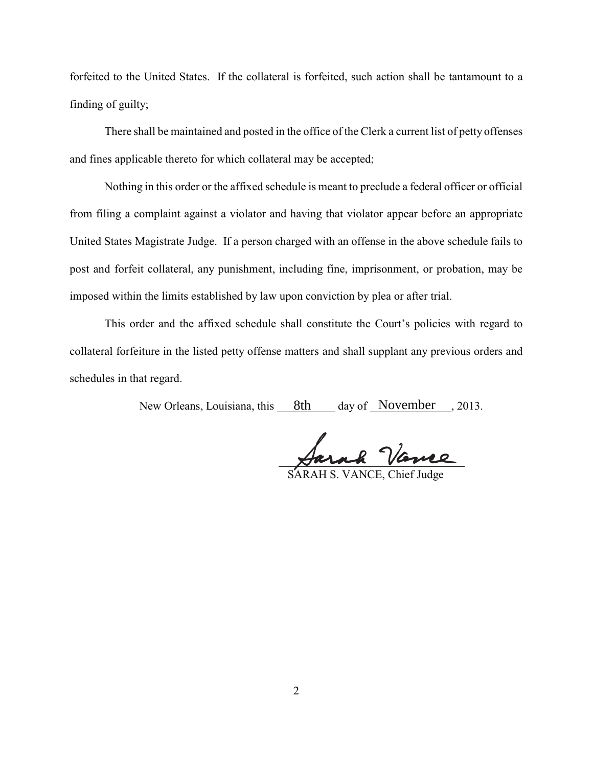forfeited to the United States. If the collateral is forfeited, such action shall be tantamount to a finding of guilty;

There shall be maintained and posted in the office of the Clerk a current list of petty offenses and fines applicable thereto for which collateral may be accepted;

Nothing in this order or the affixed schedule is meant to preclude a federal officer or official from filing a complaint against a violator and having that violator appear before an appropriate United States Magistrate Judge. If a person charged with an offense in the above schedule fails to post and forfeit collateral, any punishment, including fine, imprisonment, or probation, may be imposed within the limits established by law upon conviction by plea or after trial.

This order and the affixed schedule shall constitute the Court's policies with regard to collateral forfeiture in the listed petty offense matters and shall supplant any previous orders and schedules in that regard.

New Orleans, Louisiana, this <u>8th a</u>day of November 3013.

 $\forall$ arak vanne

H S. VANCE, Chief Judge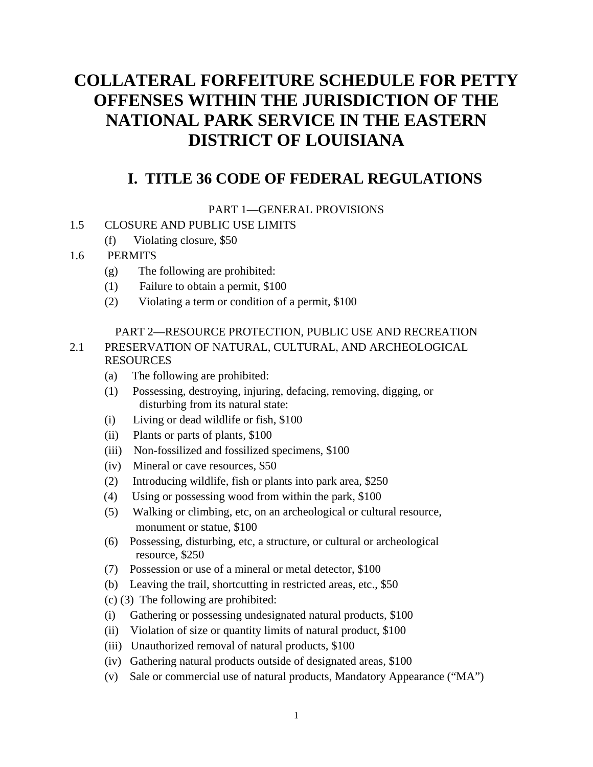# **COLLATERAL FORFEITURE SCHEDULE FOR PETTY OFFENSES WITHIN THE JURISDICTION OF THE NATIONAL PARK SERVICE IN THE EASTERN DISTRICT OF LOUISIANA**

# **I. TITLE 36 CODE OF FEDERAL REGULATIONS**

PART 1—GENERAL PROVISIONS

### 1.5 CLOSURE AND PUBLIC USE LIMITS

(f) Violating closure, \$50

# 1.6 PERMITS

- (g) The following are prohibited:
- (1) Failure to obtain a permit, \$100
- (2) Violating a term or condition of a permit, \$100

#### PART 2—RESOURCE PROTECTION, PUBLIC USE AND RECREATION

## 2.1 PRESERVATION OF NATURAL, CULTURAL, AND ARCHEOLOGICAL RESOURCES

- (a) The following are prohibited:
- (1) Possessing, destroying, injuring, defacing, removing, digging, or disturbing from its natural state:
- (i) Living or dead wildlife or fish, \$100
- (ii) Plants or parts of plants, \$100
- (iii) Non-fossilized and fossilized specimens, \$100
- (iv) Mineral or cave resources, \$50
- (2) Introducing wildlife, fish or plants into park area, \$250
- (4) Using or possessing wood from within the park, \$100
- (5) Walking or climbing, etc, on an archeological or cultural resource, monument or statue, \$100
- (6) Possessing, disturbing, etc, a structure, or cultural or archeological resource, \$250
- (7) Possession or use of a mineral or metal detector, \$100
- (b) Leaving the trail, shortcutting in restricted areas, etc., \$50
- (c) (3) The following are prohibited:
- (i) Gathering or possessing undesignated natural products, \$100
- (ii) Violation of size or quantity limits of natural product, \$100
- (iii) Unauthorized removal of natural products, \$100
- (iv) Gathering natural products outside of designated areas, \$100
- (v) Sale or commercial use of natural products, Mandatory Appearance ("MA")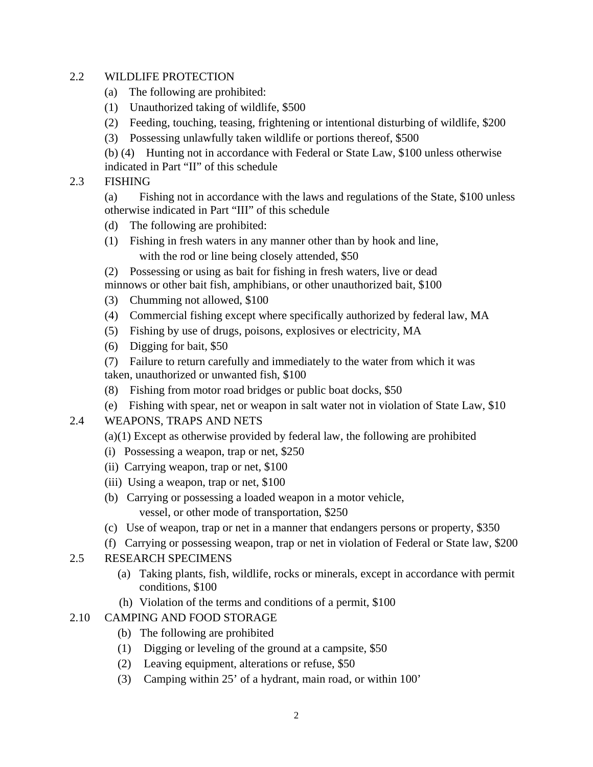#### 2.2 WILDLIFE PROTECTION

- (a) The following are prohibited:
- (1) Unauthorized taking of wildlife, \$500
- (2) Feeding, touching, teasing, frightening or intentional disturbing of wildlife, \$200
- (3) Possessing unlawfully taken wildlife or portions thereof, \$500

(b) (4) Hunting not in accordance with Federal or State Law, \$100 unless otherwise indicated in Part "II" of this schedule

2.3 FISHING

(a) Fishing not in accordance with the laws and regulations of the State, \$100 unless otherwise indicated in Part "III" of this schedule

- (d) The following are prohibited:
- (1) Fishing in fresh waters in any manner other than by hook and line, with the rod or line being closely attended, \$50
- (2) Possessing or using as bait for fishing in fresh waters, live or dead
- minnows or other bait fish, amphibians, or other unauthorized bait, \$100
- (3) Chumming not allowed, \$100
- (4) Commercial fishing except where specifically authorized by federal law, MA
- (5) Fishing by use of drugs, poisons, explosives or electricity, MA
- (6) Digging for bait, \$50
- (7) Failure to return carefully and immediately to the water from which it was taken, unauthorized or unwanted fish, \$100
- (8) Fishing from motor road bridges or public boat docks, \$50
- (e) Fishing with spear, net or weapon in salt water not in violation of State Law, \$10
- 2.4 WEAPONS, TRAPS AND NETS
	- (a)(1) Except as otherwise provided by federal law, the following are prohibited
	- (i) Possessing a weapon, trap or net, \$250
	- (ii) Carrying weapon, trap or net, \$100
	- (iii) Using a weapon, trap or net, \$100
	- (b) Carrying or possessing a loaded weapon in a motor vehicle, vessel, or other mode of transportation, \$250
	- (c) Use of weapon, trap or net in a manner that endangers persons or property, \$350
	- (f) Carrying or possessing weapon, trap or net in violation of Federal or State law, \$200
- 2.5 RESEARCH SPECIMENS
	- (a) Taking plants, fish, wildlife, rocks or minerals, except in accordance with permit conditions, \$100
	- (h) Violation of the terms and conditions of a permit, \$100
- 2.10 CAMPING AND FOOD STORAGE
	- (b) The following are prohibited
	- (1) Digging or leveling of the ground at a campsite, \$50
	- (2) Leaving equipment, alterations or refuse, \$50
	- (3) Camping within 25' of a hydrant, main road, or within 100'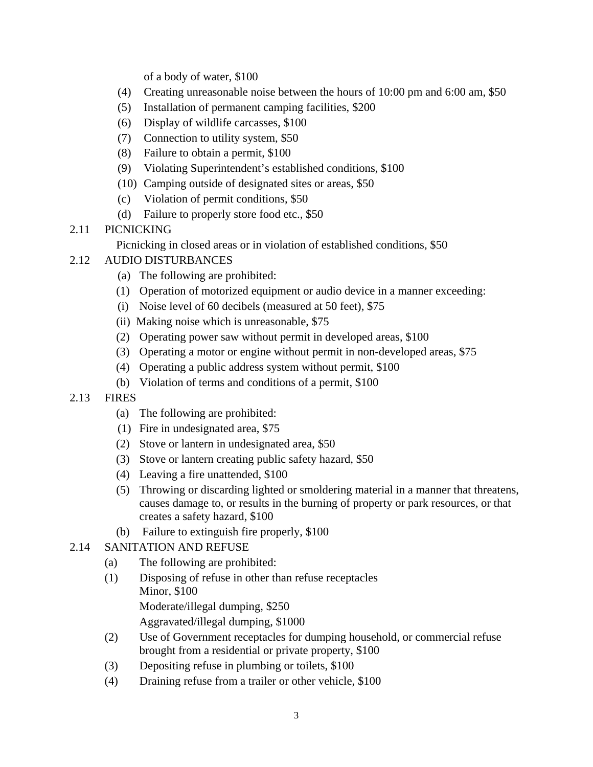of a body of water, \$100

- (4) Creating unreasonable noise between the hours of 10:00 pm and 6:00 am, \$50
- (5) Installation of permanent camping facilities, \$200
- (6) Display of wildlife carcasses, \$100
- (7) Connection to utility system, \$50
- (8) Failure to obtain a permit, \$100
- (9) Violating Superintendent's established conditions, \$100
- (10) Camping outside of designated sites or areas, \$50
- (c) Violation of permit conditions, \$50
- (d) Failure to properly store food etc., \$50
- 2.11 PICNICKING

Picnicking in closed areas or in violation of established conditions, \$50

### 2.12 AUDIO DISTURBANCES

- (a) The following are prohibited:
- (1) Operation of motorized equipment or audio device in a manner exceeding:
- (i) Noise level of 60 decibels (measured at 50 feet), \$75
- (ii) Making noise which is unreasonable, \$75
- (2) Operating power saw without permit in developed areas, \$100
- (3) Operating a motor or engine without permit in non-developed areas, \$75
- (4) Operating a public address system without permit, \$100
- (b) Violation of terms and conditions of a permit, \$100
- 2.13 FIRES
	- (a) The following are prohibited:
	- (1) Fire in undesignated area, \$75
	- (2) Stove or lantern in undesignated area, \$50
	- (3) Stove or lantern creating public safety hazard, \$50
	- (4) Leaving a fire unattended, \$100
	- (5) Throwing or discarding lighted or smoldering material in a manner that threatens, causes damage to, or results in the burning of property or park resources, or that creates a safety hazard, \$100
	- (b) Failure to extinguish fire properly, \$100
- 2.14 SANITATION AND REFUSE
	- (a) The following are prohibited:
	- (1) Disposing of refuse in other than refuse receptacles Minor, \$100 Moderate/illegal dumping, \$250 Aggravated/illegal dumping, \$1000
	- (2) Use of Government receptacles for dumping household, or commercial refuse brought from a residential or private property, \$100
	- (3) Depositing refuse in plumbing or toilets, \$100
	- (4) Draining refuse from a trailer or other vehicle, \$100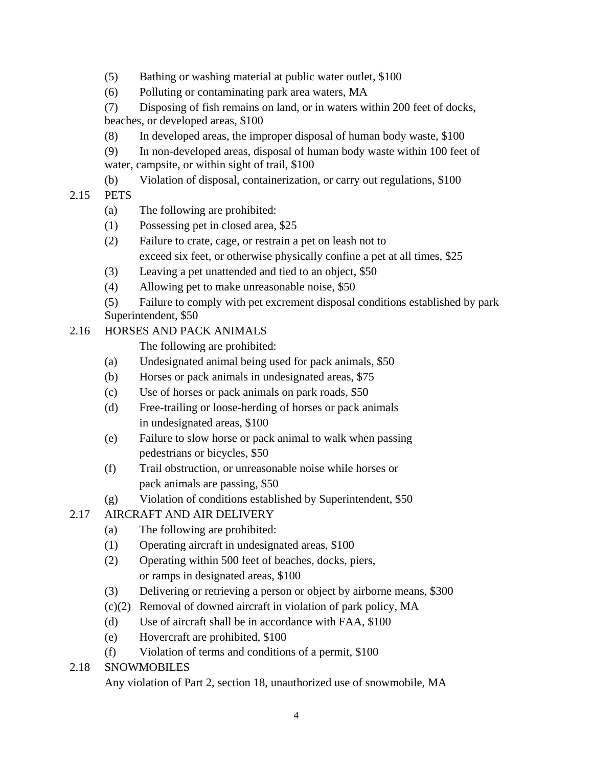- (5) Bathing or washing material at public water outlet, \$100
- (6) Polluting or contaminating park area waters, MA
- (7) Disposing of fish remains on land, or in waters within 200 feet of docks, beaches, or developed areas, \$100
- (8) In developed areas, the improper disposal of human body waste, \$100
- (9) In non-developed areas, disposal of human body waste within 100 feet of water, campsite, or within sight of trail, \$100
- (b) Violation of disposal, containerization, or carry out regulations, \$100

# 2.15 PETS

- (a) The following are prohibited:
- (1) Possessing pet in closed area, \$25
- (2) Failure to crate, cage, or restrain a pet on leash not to exceed six feet, or otherwise physically confine a pet at all times, \$25
- (3) Leaving a pet unattended and tied to an object, \$50
- (4) Allowing pet to make unreasonable noise, \$50
- (5) Failure to comply with pet excrement disposal conditions established by park Superintendent, \$50
- 2.16 HORSES AND PACK ANIMALS

The following are prohibited:

- (a) Undesignated animal being used for pack animals, \$50
- (b) Horses or pack animals in undesignated areas, \$75
- (c) Use of horses or pack animals on park roads, \$50
- (d) Free-trailing or loose-herding of horses or pack animals in undesignated areas, \$100
- (e) Failure to slow horse or pack animal to walk when passing pedestrians or bicycles, \$50
- (f) Trail obstruction, or unreasonable noise while horses or pack animals are passing, \$50
- (g) Violation of conditions established by Superintendent, \$50
- 2.17 AIRCRAFT AND AIR DELIVERY
	- (a) The following are prohibited:
	- (1) Operating aircraft in undesignated areas, \$100
	- (2) Operating within 500 feet of beaches, docks, piers, or ramps in designated areas, \$100
	- (3) Delivering or retrieving a person or object by airborne means, \$300
	- (c)(2) Removal of downed aircraft in violation of park policy, MA
	- (d) Use of aircraft shall be in accordance with FAA, \$100
	- (e) Hovercraft are prohibited, \$100
	- (f) Violation of terms and conditions of a permit, \$100

# 2.18 SNOWMOBILES

Any violation of Part 2, section 18, unauthorized use of snowmobile, MA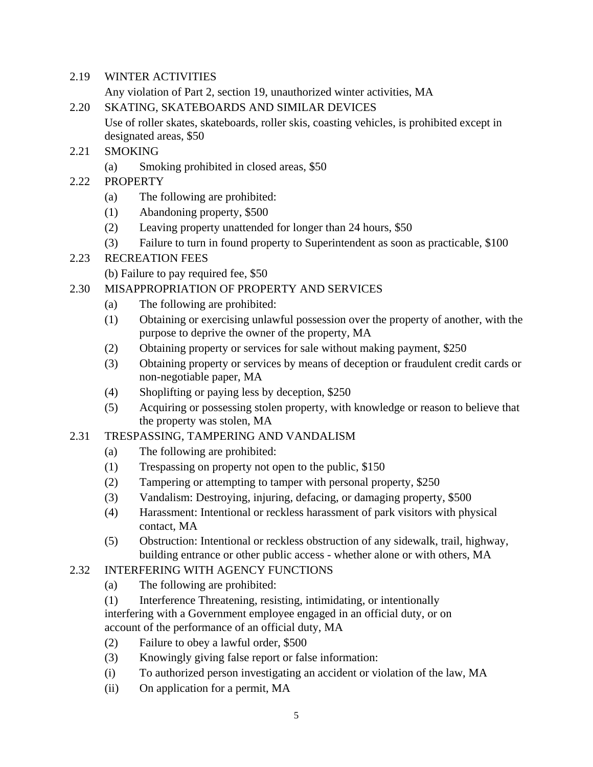2.19 WINTER ACTIVITIES

Any violation of Part 2, section 19, unauthorized winter activities, MA

- 2.20 SKATING, SKATEBOARDS AND SIMILAR DEVICES Use of roller skates, skateboards, roller skis, coasting vehicles, is prohibited except in designated areas, \$50
- 2.21 SMOKING
	- (a) Smoking prohibited in closed areas, \$50
- 2.22 PROPERTY
	- (a) The following are prohibited:
	- (1) Abandoning property, \$500
	- (2) Leaving property unattended for longer than 24 hours, \$50
	- (3) Failure to turn in found property to Superintendent as soon as practicable, \$100

# 2.23 RECREATION FEES

(b) Failure to pay required fee, \$50

### 2.30 MISAPPROPRIATION OF PROPERTY AND SERVICES

- (a) The following are prohibited:
- (1) Obtaining or exercising unlawful possession over the property of another, with the purpose to deprive the owner of the property, MA
- (2) Obtaining property or services for sale without making payment, \$250
- (3) Obtaining property or services by means of deception or fraudulent credit cards or non-negotiable paper, MA
- (4) Shoplifting or paying less by deception, \$250
- (5) Acquiring or possessing stolen property, with knowledge or reason to believe that the property was stolen, MA

#### 2.31 TRESPASSING, TAMPERING AND VANDALISM

- (a) The following are prohibited:
- (1) Trespassing on property not open to the public, \$150
- (2) Tampering or attempting to tamper with personal property, \$250
- (3) Vandalism: Destroying, injuring, defacing, or damaging property, \$500
- (4) Harassment: Intentional or reckless harassment of park visitors with physical contact, MA
- (5) Obstruction: Intentional or reckless obstruction of any sidewalk, trail, highway, building entrance or other public access - whether alone or with others, MA

# 2.32 INTERFERING WITH AGENCY FUNCTIONS

- (a) The following are prohibited:
- (1) Interference Threatening, resisting, intimidating, or intentionally interfering with a Government employee engaged in an official duty, or on account of the performance of an official duty, MA
- (2) Failure to obey a lawful order, \$500
- (3) Knowingly giving false report or false information:
- (i) To authorized person investigating an accident or violation of the law, MA
- (ii) On application for a permit, MA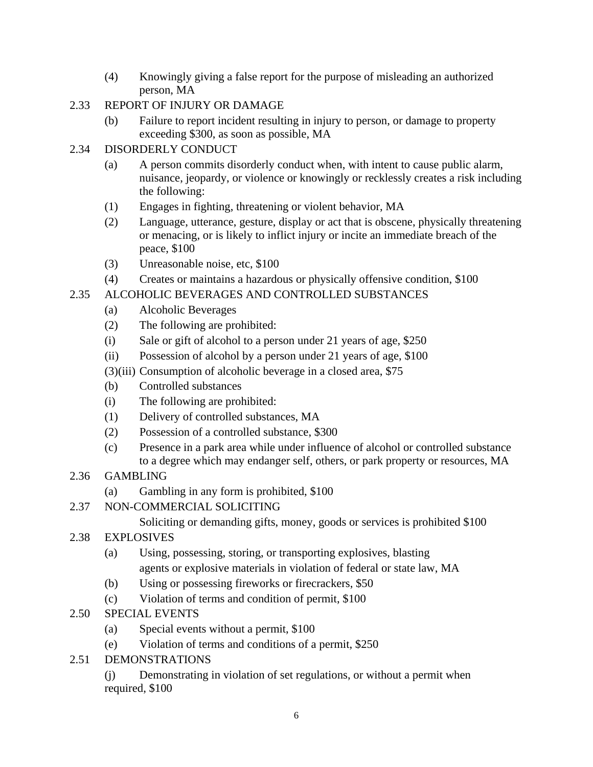- (4) Knowingly giving a false report for the purpose of misleading an authorized person, MA
- 2.33 REPORT OF INJURY OR DAMAGE
	- (b) Failure to report incident resulting in injury to person, or damage to property exceeding \$300, as soon as possible, MA
- 2.34 DISORDERLY CONDUCT
	- (a) A person commits disorderly conduct when, with intent to cause public alarm, nuisance, jeopardy, or violence or knowingly or recklessly creates a risk including the following:
	- (1) Engages in fighting, threatening or violent behavior, MA
	- (2) Language, utterance, gesture, display or act that is obscene, physically threatening or menacing, or is likely to inflict injury or incite an immediate breach of the peace, \$100
	- (3) Unreasonable noise, etc, \$100
	- (4) Creates or maintains a hazardous or physically offensive condition, \$100

# 2.35 ALCOHOLIC BEVERAGES AND CONTROLLED SUBSTANCES

- (a) Alcoholic Beverages
- (2) The following are prohibited:
- (i) Sale or gift of alcohol to a person under 21 years of age, \$250
- (ii) Possession of alcohol by a person under 21 years of age, \$100
- (3)(iii) Consumption of alcoholic beverage in a closed area, \$75
- (b) Controlled substances
- (i) The following are prohibited:
- (1) Delivery of controlled substances, MA
- (2) Possession of a controlled substance, \$300
- (c) Presence in a park area while under influence of alcohol or controlled substance to a degree which may endanger self, others, or park property or resources, MA

# 2.36 GAMBLING

- (a) Gambling in any form is prohibited, \$100
- 2.37 NON-COMMERCIAL SOLICITING
	- Soliciting or demanding gifts, money, goods or services is prohibited \$100
- 2.38 EXPLOSIVES
	- (a) Using, possessing, storing, or transporting explosives, blasting agents or explosive materials in violation of federal or state law, MA
	- (b) Using or possessing fireworks or firecrackers, \$50
	- (c) Violation of terms and condition of permit, \$100
- 2.50 SPECIAL EVENTS
	- (a) Special events without a permit, \$100
	- (e) Violation of terms and conditions of a permit, \$250
- 2.51 DEMONSTRATIONS
	- (j) Demonstrating in violation of set regulations, or without a permit when required, \$100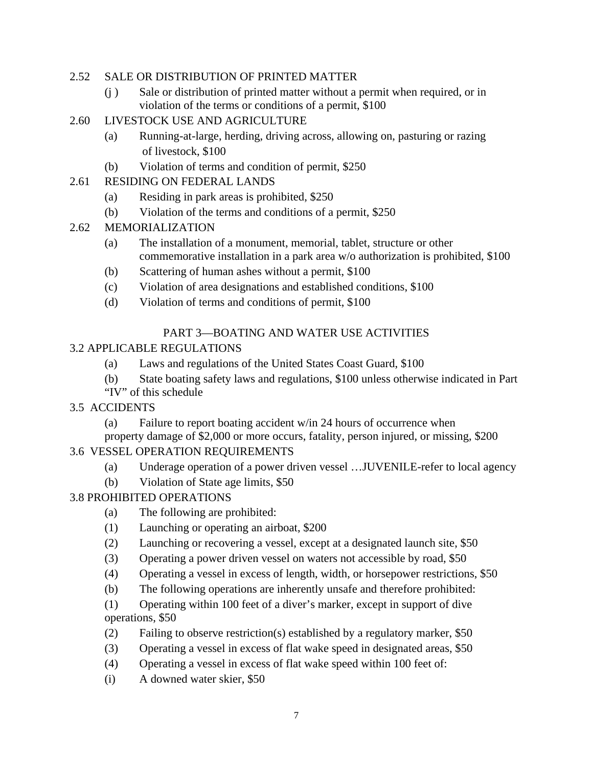#### 2.52 SALE OR DISTRIBUTION OF PRINTED MATTER

- (j ) Sale or distribution of printed matter without a permit when required, or in violation of the terms or conditions of a permit, \$100
- 2.60 LIVESTOCK USE AND AGRICULTURE
	- (a) Running-at-large, herding, driving across, allowing on, pasturing or razing of livestock, \$100
	- (b) Violation of terms and condition of permit, \$250
- 2.61 RESIDING ON FEDERAL LANDS
	- (a) Residing in park areas is prohibited, \$250
	- (b) Violation of the terms and conditions of a permit, \$250
- 2.62 MEMORIALIZATION
	- (a) The installation of a monument, memorial, tablet, structure or other commemorative installation in a park area w/o authorization is prohibited, \$100
	- (b) Scattering of human ashes without a permit, \$100
	- (c) Violation of area designations and established conditions, \$100
	- (d) Violation of terms and conditions of permit, \$100

# PART 3—BOATING AND WATER USE ACTIVITIES

### 3.2 APPLICABLE REGULATIONS

- (a) Laws and regulations of the United States Coast Guard, \$100
- (b) State boating safety laws and regulations, \$100 unless otherwise indicated in Part
- "IV" of this schedule
- 3.5 ACCIDENTS
	- (a) Failure to report boating accident w/in 24 hours of occurrence when

property damage of \$2,000 or more occurs, fatality, person injured, or missing, \$200

# 3.6 VESSEL OPERATION REQUIREMENTS

- (a) Underage operation of a power driven vessel …JUVENILE-refer to local agency
- (b) Violation of State age limits, \$50

# 3.8 PROHIBITED OPERATIONS

- (a) The following are prohibited:
- (1) Launching or operating an airboat, \$200
- (2) Launching or recovering a vessel, except at a designated launch site, \$50
- (3) Operating a power driven vessel on waters not accessible by road, \$50
- (4) Operating a vessel in excess of length, width, or horsepower restrictions, \$50
- (b) The following operations are inherently unsafe and therefore prohibited:

(1) Operating within 100 feet of a diver's marker, except in support of dive operations, \$50

- (2) Failing to observe restriction(s) established by a regulatory marker, \$50
- (3) Operating a vessel in excess of flat wake speed in designated areas, \$50
- (4) Operating a vessel in excess of flat wake speed within 100 feet of:
- (i) A downed water skier, \$50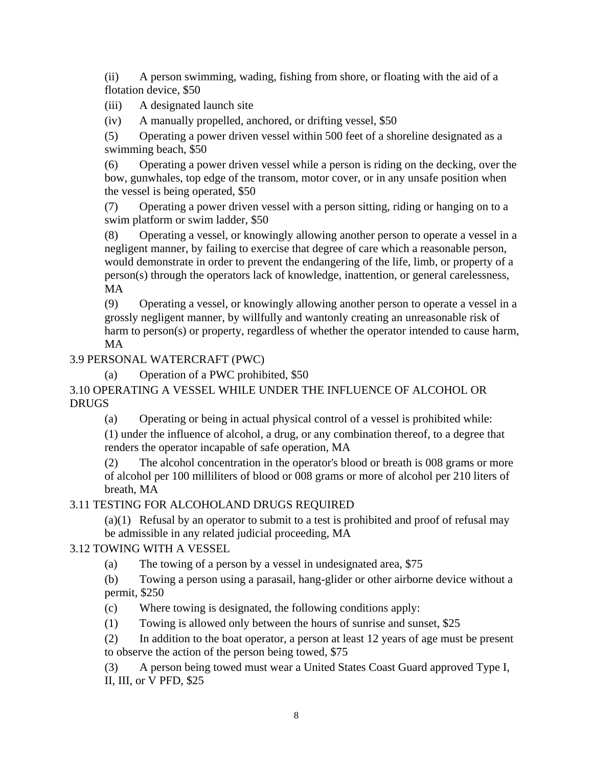(ii) A person swimming, wading, fishing from shore, or floating with the aid of a flotation device, \$50

(iii) A designated launch site

(iv) A manually propelled, anchored, or drifting vessel, \$50

(5) Operating a power driven vessel within 500 feet of a shoreline designated as a swimming beach, \$50

(6) Operating a power driven vessel while a person is riding on the decking, over the bow, gunwhales, top edge of the transom, motor cover, or in any unsafe position when the vessel is being operated, \$50

(7) Operating a power driven vessel with a person sitting, riding or hanging on to a swim platform or swim ladder, \$50

(8) Operating a vessel, or knowingly allowing another person to operate a vessel in a negligent manner, by failing to exercise that degree of care which a reasonable person, would demonstrate in order to prevent the endangering of the life, limb, or property of a person(s) through the operators lack of knowledge, inattention, or general carelessness, MA

(9) Operating a vessel, or knowingly allowing another person to operate a vessel in a grossly negligent manner, by willfully and wantonly creating an unreasonable risk of harm to person(s) or property, regardless of whether the operator intended to cause harm, MA

# 3.9 PERSONAL WATERCRAFT (PWC)

(a) Operation of a PWC prohibited, \$50

# 3.10 OPERATING A VESSEL WHILE UNDER THE INFLUENCE OF ALCOHOL OR DRUGS

(a) Operating or being in actual physical control of a vessel is prohibited while:

(1) under the influence of alcohol, a drug, or any combination thereof, to a degree that renders the operator incapable of safe operation, MA

(2) The alcohol concentration in the operator's blood or breath is 008 grams or more of alcohol per 100 milliliters of blood or 008 grams or more of alcohol per 210 liters of breath, MA

# 3.11 TESTING FOR ALCOHOLAND DRUGS REQUIRED

(a)(1) Refusal by an operator to submit to a test is prohibited and proof of refusal may be admissible in any related judicial proceeding, MA

# 3.12 TOWING WITH A VESSEL

(a) The towing of a person by a vessel in undesignated area, \$75

(b) Towing a person using a parasail, hang-glider or other airborne device without a permit, \$250

- (c) Where towing is designated, the following conditions apply:
- (1) Towing is allowed only between the hours of sunrise and sunset, \$25

(2) In addition to the boat operator, a person at least 12 years of age must be present to observe the action of the person being towed, \$75

(3) A person being towed must wear a United States Coast Guard approved Type I, II, III, or V PFD, \$25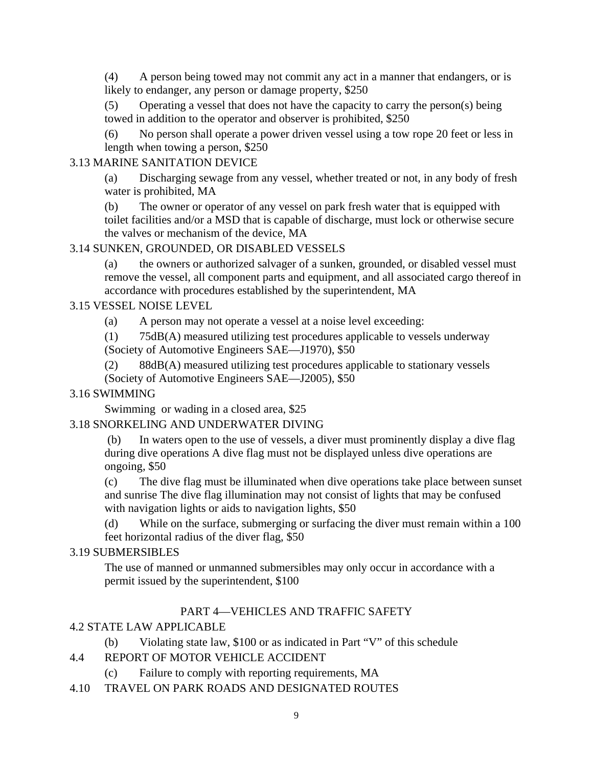(4) A person being towed may not commit any act in a manner that endangers, or is likely to endanger, any person or damage property, \$250

(5) Operating a vessel that does not have the capacity to carry the person(s) being towed in addition to the operator and observer is prohibited, \$250

(6) No person shall operate a power driven vessel using a tow rope 20 feet or less in length when towing a person, \$250

#### 3.13 MARINE SANITATION DEVICE

(a) Discharging sewage from any vessel, whether treated or not, in any body of fresh water is prohibited, MA

(b) The owner or operator of any vessel on park fresh water that is equipped with toilet facilities and/or a MSD that is capable of discharge, must lock or otherwise secure the valves or mechanism of the device, MA

#### 3.14 SUNKEN, GROUNDED, OR DISABLED VESSELS

(a) the owners or authorized salvager of a sunken, grounded, or disabled vessel must remove the vessel, all component parts and equipment, and all associated cargo thereof in accordance with procedures established by the superintendent, MA

#### 3.15 VESSEL NOISE LEVEL

(a) A person may not operate a vessel at a noise level exceeding:

(1) 75dB(A) measured utilizing test procedures applicable to vessels underway (Society of Automotive Engineers SAE—J1970), \$50

(2) 88dB(A) measured utilizing test procedures applicable to stationary vessels (Society of Automotive Engineers SAE—J2005), \$50

#### 3.16 SWIMMING

Swimming or wading in a closed area, \$25

#### 3.18 SNORKELING AND UNDERWATER DIVING

 (b) In waters open to the use of vessels, a diver must prominently display a dive flag during dive operations A dive flag must not be displayed unless dive operations are ongoing, \$50

(c) The dive flag must be illuminated when dive operations take place between sunset and sunrise The dive flag illumination may not consist of lights that may be confused with navigation lights or aids to navigation lights, \$50

(d) While on the surface, submerging or surfacing the diver must remain within a 100 feet horizontal radius of the diver flag, \$50

#### 3.19 SUBMERSIBLES

The use of manned or unmanned submersibles may only occur in accordance with a permit issued by the superintendent, \$100

#### PART 4—VEHICLES AND TRAFFIC SAFETY

#### 4.2 STATE LAW APPLICABLE

(b) Violating state law, \$100 or as indicated in Part "V" of this schedule

#### 4.4 REPORT OF MOTOR VEHICLE ACCIDENT

- (c) Failure to comply with reporting requirements, MA
- 4.10 TRAVEL ON PARK ROADS AND DESIGNATED ROUTES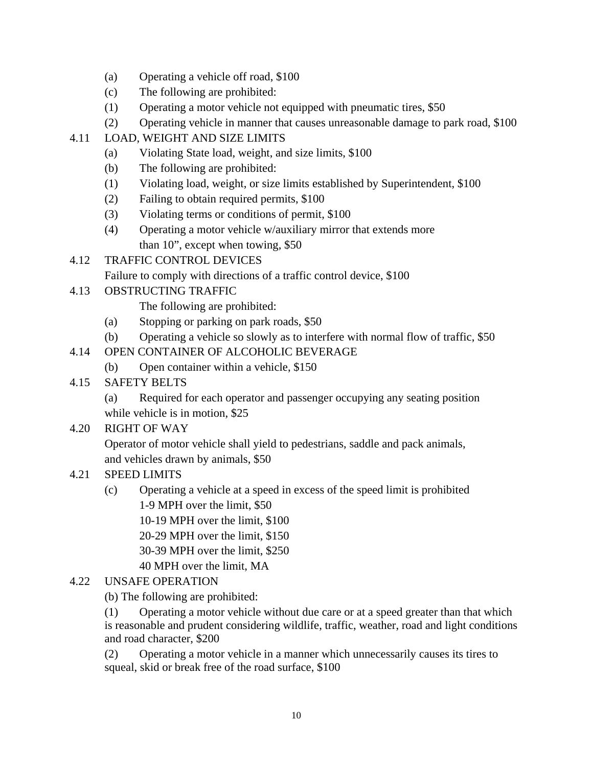- (a) Operating a vehicle off road, \$100
- (c) The following are prohibited:
- (1) Operating a motor vehicle not equipped with pneumatic tires, \$50
- (2) Operating vehicle in manner that causes unreasonable damage to park road, \$100

# 4.11 LOAD, WEIGHT AND SIZE LIMITS

- (a) Violating State load, weight, and size limits, \$100
- (b) The following are prohibited:
- (1) Violating load, weight, or size limits established by Superintendent, \$100
- (2) Failing to obtain required permits, \$100
- (3) Violating terms or conditions of permit, \$100
- (4) Operating a motor vehicle w/auxiliary mirror that extends more than 10", except when towing, \$50
- 4.12 TRAFFIC CONTROL DEVICES

Failure to comply with directions of a traffic control device, \$100

### 4.13 OBSTRUCTING TRAFFIC

The following are prohibited:

- (a) Stopping or parking on park roads, \$50
- (b) Operating a vehicle so slowly as to interfere with normal flow of traffic, \$50

# 4.14 OPEN CONTAINER OF ALCOHOLIC BEVERAGE

- (b) Open container within a vehicle, \$150
- 4.15 SAFETY BELTS
	- (a) Required for each operator and passenger occupying any seating position while vehicle is in motion, \$25
- 4.20 RIGHT OF WAY

 Operator of motor vehicle shall yield to pedestrians, saddle and pack animals, and vehicles drawn by animals, \$50

- 4.21 SPEED LIMITS
	- (c) Operating a vehicle at a speed in excess of the speed limit is prohibited 1-9 MPH over the limit, \$50
		- 10-19 MPH over the limit, \$100
		- 20-29 MPH over the limit, \$150
		- 30-39 MPH over the limit, \$250
		- 40 MPH over the limit, MA

# 4.22 UNSAFE OPERATION

(b) The following are prohibited:

(1) Operating a motor vehicle without due care or at a speed greater than that which is reasonable and prudent considering wildlife, traffic, weather, road and light conditions and road character, \$200

(2) Operating a motor vehicle in a manner which unnecessarily causes its tires to squeal, skid or break free of the road surface, \$100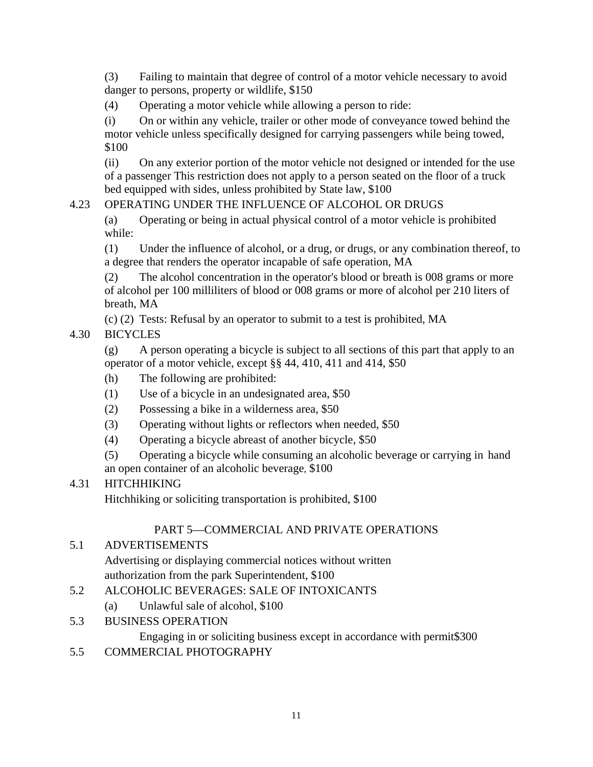(3) Failing to maintain that degree of control of a motor vehicle necessary to avoid danger to persons, property or wildlife, \$150

(4) Operating a motor vehicle while allowing a person to ride:

(i) On or within any vehicle, trailer or other mode of conveyance towed behind the motor vehicle unless specifically designed for carrying passengers while being towed, \$100

(ii) On any exterior portion of the motor vehicle not designed or intended for the use of a passenger This restriction does not apply to a person seated on the floor of a truck bed equipped with sides, unless prohibited by State law, \$100

# 4.23 OPERATING UNDER THE INFLUENCE OF ALCOHOL OR DRUGS

(a) Operating or being in actual physical control of a motor vehicle is prohibited while:

(1) Under the influence of alcohol, or a drug, or drugs, or any combination thereof, to a degree that renders the operator incapable of safe operation, MA

(2) The alcohol concentration in the operator's blood or breath is 008 grams or more of alcohol per 100 milliliters of blood or 008 grams or more of alcohol per 210 liters of breath, MA

(c) (2) Tests: Refusal by an operator to submit to a test is prohibited, MA

# 4.30 BICYCLES

(g) A person operating a bicycle is subject to all sections of this part that apply to an operator of a motor vehicle, except §§ 44, 410, 411 and 414, \$50

- (h) The following are prohibited:
- (1) Use of a bicycle in an undesignated area, \$50
- (2) Possessing a bike in a wilderness area, \$50
- (3) Operating without lights or reflectors when needed, \$50
- (4) Operating a bicycle abreast of another bicycle, \$50
- (5) Operating a bicycle while consuming an alcoholic beverage or carrying in hand an open container of an alcoholic beverage, \$100

# 4.31 HITCHHIKING

Hitchhiking or soliciting transportation is prohibited, \$100

# PART 5—COMMERCIAL AND PRIVATE OPERATIONS

# 5.1 ADVERTISEMENTS

 Advertising or displaying commercial notices without written authorization from the park Superintendent, \$100

- 5.2 ALCOHOLIC BEVERAGES: SALE OF INTOXICANTS
	- (a) Unlawful sale of alcohol, \$100
- 5.3 BUSINESS OPERATION

Engaging in or soliciting business except in accordance with permit\$300

5.5 COMMERCIAL PHOTOGRAPHY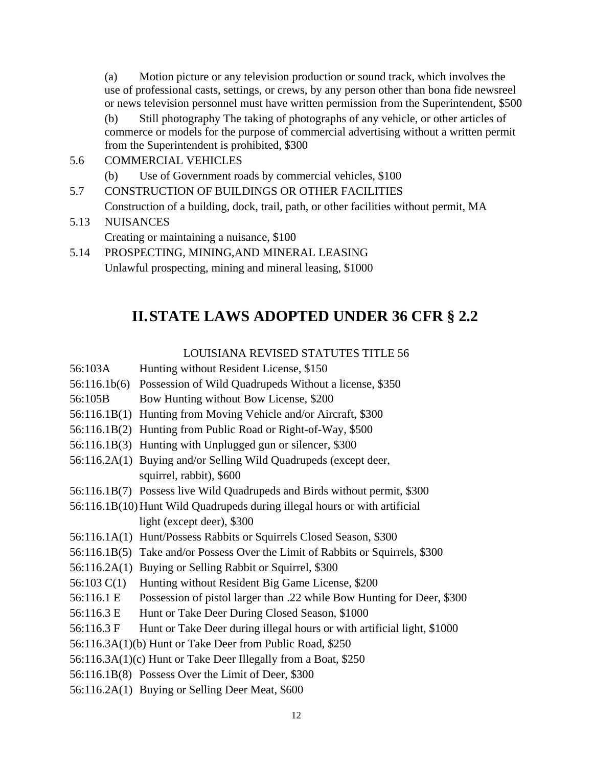(a) Motion picture or any television production or sound track, which involves the use of professional casts, settings, or crews, by any person other than bona fide newsreel or news television personnel must have written permission from the Superintendent, \$500

(b) Still photography The taking of photographs of any vehicle, or other articles of commerce or models for the purpose of commercial advertising without a written permit from the Superintendent is prohibited, \$300

- 5.6 COMMERCIAL VEHICLES
	- (b) Use of Government roads by commercial vehicles, \$100
- 5.7 CONSTRUCTION OF BUILDINGS OR OTHER FACILITIES Construction of a building, dock, trail, path, or other facilities without permit, MA
- 5.13 NUISANCES
	- Creating or maintaining a nuisance, \$100
- 5.14 PROSPECTING, MINING,AND MINERAL LEASING Unlawful prospecting, mining and mineral leasing, \$1000

# **II.STATE LAWS ADOPTED UNDER 36 CFR § 2.2**

#### LOUISIANA REVISED STATUTES TITLE 56

- 56:103A Hunting without Resident License, \$150
- 56:116.1b(6) Possession of Wild Quadrupeds Without a license, \$350
- 56:105B Bow Hunting without Bow License, \$200
- 56:116.1B(1) Hunting from Moving Vehicle and/or Aircraft, \$300
- 56:116.1B(2) Hunting from Public Road or Right-of-Way, \$500
- 56:116.1B(3) Hunting with Unplugged gun or silencer, \$300
- 56:116.2A(1) Buying and/or Selling Wild Quadrupeds (except deer, squirrel, rabbit), \$600
- 56:116.1B(7) Possess live Wild Quadrupeds and Birds without permit, \$300
- 56:116.1B(10) Hunt Wild Quadrupeds during illegal hours or with artificial light (except deer), \$300
- 56:116.1A(1) Hunt/Possess Rabbits or Squirrels Closed Season, \$300
- 56:116.1B(5) Take and/or Possess Over the Limit of Rabbits or Squirrels, \$300
- 56:116.2A(1) Buying or Selling Rabbit or Squirrel, \$300
- 56:103 C(1) Hunting without Resident Big Game License, \$200
- 56:116.1 E Possession of pistol larger than .22 while Bow Hunting for Deer, \$300
- 56:116.3 E Hunt or Take Deer During Closed Season, \$1000
- 56:116.3 F Hunt or Take Deer during illegal hours or with artificial light, \$1000
- 56:116.3A(1)(b) Hunt or Take Deer from Public Road, \$250
- 56:116.3A(1)(c) Hunt or Take Deer Illegally from a Boat, \$250
- 56:116.1B(8) Possess Over the Limit of Deer, \$300
- 56:116.2A(1) Buying or Selling Deer Meat, \$600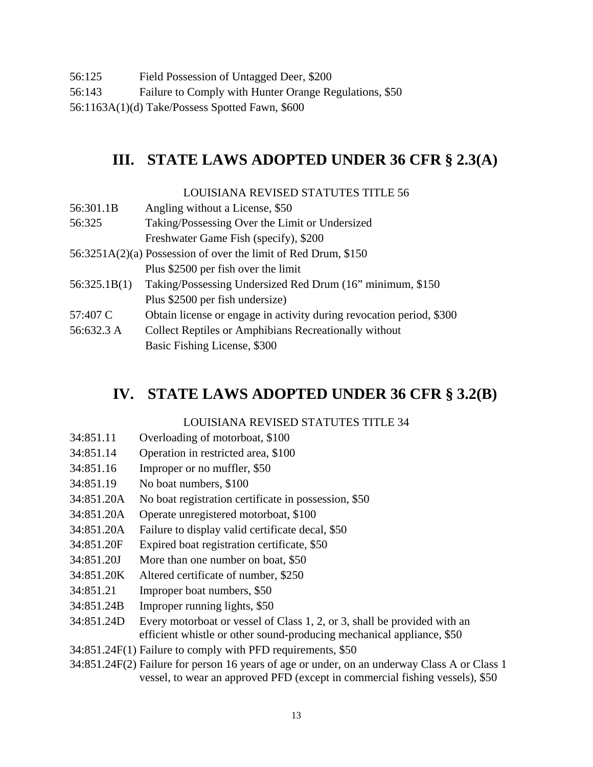- 56:125 Field Possession of Untagged Deer, \$200
- 56:143 Failure to Comply with Hunter Orange Regulations, \$50

56:1163A(1)(d) Take/Possess Spotted Fawn, \$600

# **III. STATE LAWS ADOPTED UNDER 36 CFR § 2.3(A)**

#### LOUISIANA REVISED STATUTES TITLE 56

- 56:301.1B Angling without a License, \$50
- 56:325 Taking/Possessing Over the Limit or Undersized Freshwater Game Fish (specify), \$200
- 56:3251A(2)(a) Possession of over the limit of Red Drum, \$150 Plus \$2500 per fish over the limit
- 56:325.1B(1) Taking/Possessing Undersized Red Drum (16" minimum, \$150 Plus \$2500 per fish undersize)
- 57:407 C Obtain license or engage in activity during revocation period, \$300
- 56:632.3 A Collect Reptiles or Amphibians Recreationally without
	- Basic Fishing License, \$300

# **IV. STATE LAWS ADOPTED UNDER 36 CFR § 3.2(B)**

#### LOUISIANA REVISED STATUTES TITLE 34

- 34:851.11 Overloading of motorboat, \$100
- 34:851.14 Operation in restricted area, \$100
- 34:851.16 Improper or no muffler, \$50
- 34:851.19 No boat numbers, \$100
- 34:851.20A No boat registration certificate in possession, \$50
- 34:851.20A Operate unregistered motorboat, \$100
- 34:851.20A Failure to display valid certificate decal, \$50
- 34:851.20F Expired boat registration certificate, \$50
- 34:851.20J More than one number on boat, \$50
- 34:851.20K Altered certificate of number, \$250
- 34:851.21 Improper boat numbers, \$50
- 34:851.24B Improper running lights, \$50
- 34:851.24D Every motorboat or vessel of Class 1, 2, or 3, shall be provided with an efficient whistle or other sound-producing mechanical appliance, \$50
- 34:851.24F(1) Failure to comply with PFD requirements, \$50
- 34:851.24F(2) Failure for person 16 years of age or under, on an underway Class A or Class 1 vessel, to wear an approved PFD (except in commercial fishing vessels), \$50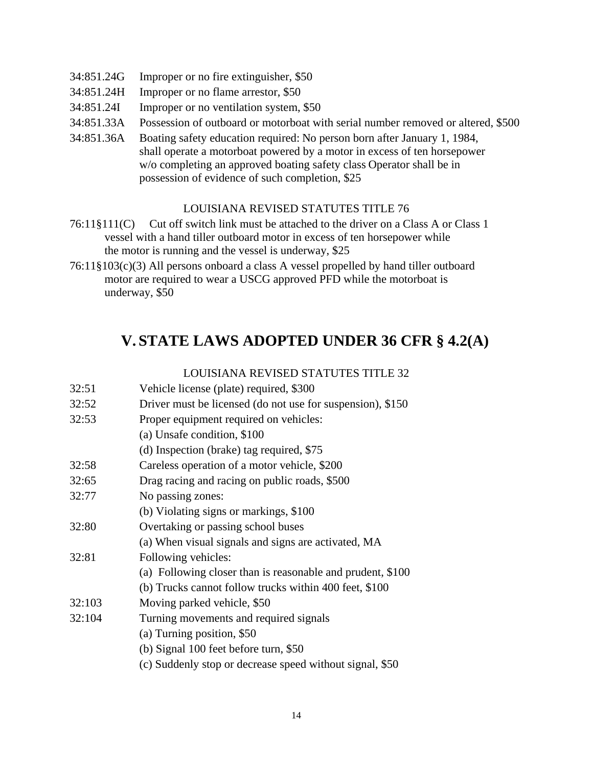- 34:851.24G Improper or no fire extinguisher, \$50
- 34:851.24H Improper or no flame arrestor, \$50
- 34:851.24I Improper or no ventilation system, \$50
- 34:851.33A Possession of outboard or motorboat with serial number removed or altered, \$500
- 34:851.36A Boating safety education required: No person born after January 1, 1984, shall operate a motorboat powered by a motor in excess of ten horsepower w/o completing an approved boating safety class Operator shall be in possession of evidence of such completion, \$25

#### LOUISIANA REVISED STATUTES TITLE 76

- 76:11§111(C) Cut off switch link must be attached to the driver on a Class A or Class 1 vessel with a hand tiller outboard motor in excess of ten horsepower while the motor is running and the vessel is underway, \$25
- 76:11§103(c)(3) All persons onboard a class A vessel propelled by hand tiller outboard motor are required to wear a USCG approved PFD while the motorboat is underway, \$50

# **V. STATE LAWS ADOPTED UNDER 36 CFR § 4.2(A)**

#### LOUISIANA REVISED STATUTES TITLE 32

| 32:51  | Vehicle license (plate) required, \$300                    |
|--------|------------------------------------------------------------|
| 32:52  | Driver must be licensed (do not use for suspension), \$150 |
| 32:53  | Proper equipment required on vehicles:                     |
|        | (a) Unsafe condition, \$100                                |
|        | (d) Inspection (brake) tag required, \$75                  |
| 32:58  | Careless operation of a motor vehicle, \$200               |
| 32:65  | Drag racing and racing on public roads, \$500              |
| 32:77  | No passing zones:                                          |
|        | (b) Violating signs or markings, \$100                     |
| 32:80  | Overtaking or passing school buses                         |
|        | (a) When visual signals and signs are activated, MA        |
| 32:81  | Following vehicles:                                        |
|        | (a) Following closer than is reasonable and prudent, \$100 |
|        | (b) Trucks cannot follow trucks within 400 feet, \$100     |
| 32:103 | Moving parked vehicle, \$50                                |
| 32:104 | Turning movements and required signals                     |
|        | (a) Turning position, \$50                                 |
|        | (b) Signal 100 feet before turn, \$50                      |
|        | (c) Suddenly stop or decrease speed without signal, \$50   |
|        |                                                            |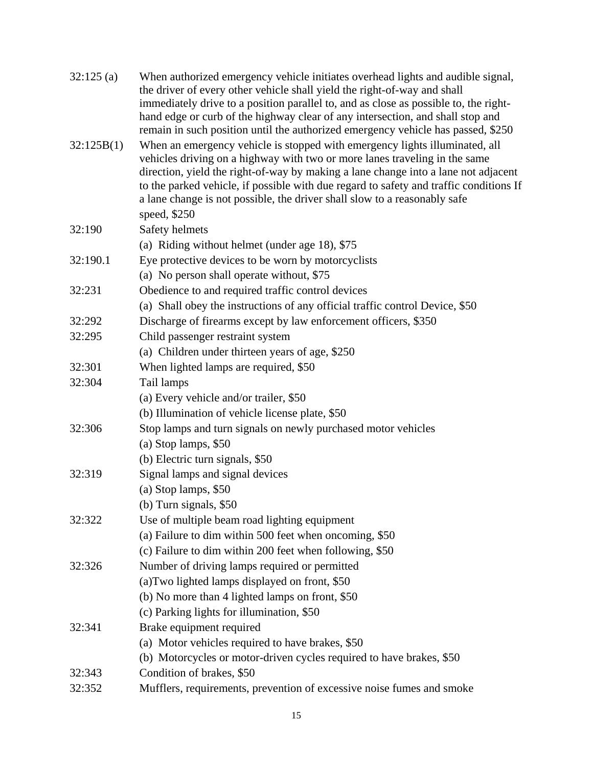| 32:125(a)  | When authorized emergency vehicle initiates overhead lights and audible signal,<br>the driver of every other vehicle shall yield the right-of-way and shall<br>immediately drive to a position parallel to, and as close as possible to, the right-<br>hand edge or curb of the highway clear of any intersection, and shall stop and<br>remain in such position until the authorized emergency vehicle has passed, \$250              |
|------------|----------------------------------------------------------------------------------------------------------------------------------------------------------------------------------------------------------------------------------------------------------------------------------------------------------------------------------------------------------------------------------------------------------------------------------------|
| 32:125B(1) | When an emergency vehicle is stopped with emergency lights illuminated, all<br>vehicles driving on a highway with two or more lanes traveling in the same<br>direction, yield the right-of-way by making a lane change into a lane not adjacent<br>to the parked vehicle, if possible with due regard to safety and traffic conditions If<br>a lane change is not possible, the driver shall slow to a reasonably safe<br>speed, \$250 |
| 32:190     | Safety helmets                                                                                                                                                                                                                                                                                                                                                                                                                         |
|            | (a) Riding without helmet (under age 18), \$75                                                                                                                                                                                                                                                                                                                                                                                         |
| 32:190.1   | Eye protective devices to be worn by motorcyclists                                                                                                                                                                                                                                                                                                                                                                                     |
|            | (a) No person shall operate without, \$75                                                                                                                                                                                                                                                                                                                                                                                              |
| 32:231     | Obedience to and required traffic control devices                                                                                                                                                                                                                                                                                                                                                                                      |
|            | (a) Shall obey the instructions of any official traffic control Device, \$50                                                                                                                                                                                                                                                                                                                                                           |
| 32:292     | Discharge of firearms except by law enforcement officers, \$350                                                                                                                                                                                                                                                                                                                                                                        |
| 32:295     | Child passenger restraint system                                                                                                                                                                                                                                                                                                                                                                                                       |
|            | (a) Children under thirteen years of age, \$250                                                                                                                                                                                                                                                                                                                                                                                        |
| 32:301     | When lighted lamps are required, \$50                                                                                                                                                                                                                                                                                                                                                                                                  |
| 32:304     | Tail lamps                                                                                                                                                                                                                                                                                                                                                                                                                             |
|            | (a) Every vehicle and/or trailer, \$50                                                                                                                                                                                                                                                                                                                                                                                                 |
|            | (b) Illumination of vehicle license plate, \$50                                                                                                                                                                                                                                                                                                                                                                                        |
| 32:306     | Stop lamps and turn signals on newly purchased motor vehicles                                                                                                                                                                                                                                                                                                                                                                          |
|            | (a) Stop lamps, \$50                                                                                                                                                                                                                                                                                                                                                                                                                   |
|            | (b) Electric turn signals, \$50                                                                                                                                                                                                                                                                                                                                                                                                        |
| 32:319     | Signal lamps and signal devices                                                                                                                                                                                                                                                                                                                                                                                                        |
|            | $(a)$ Stop lamps, \$50                                                                                                                                                                                                                                                                                                                                                                                                                 |
|            | (b) Turn signals, $$50$                                                                                                                                                                                                                                                                                                                                                                                                                |
| 32:322     | Use of multiple beam road lighting equipment                                                                                                                                                                                                                                                                                                                                                                                           |
|            | (a) Failure to dim within 500 feet when oncoming, \$50                                                                                                                                                                                                                                                                                                                                                                                 |
|            | (c) Failure to dim within 200 feet when following, \$50                                                                                                                                                                                                                                                                                                                                                                                |
| 32:326     | Number of driving lamps required or permitted                                                                                                                                                                                                                                                                                                                                                                                          |
|            | (a) Two lighted lamps displayed on front, \$50                                                                                                                                                                                                                                                                                                                                                                                         |
|            | (b) No more than 4 lighted lamps on front, \$50                                                                                                                                                                                                                                                                                                                                                                                        |
|            | (c) Parking lights for illumination, \$50                                                                                                                                                                                                                                                                                                                                                                                              |
| 32:341     | Brake equipment required                                                                                                                                                                                                                                                                                                                                                                                                               |
|            | (a) Motor vehicles required to have brakes, \$50                                                                                                                                                                                                                                                                                                                                                                                       |
|            | (b) Motorcycles or motor-driven cycles required to have brakes, \$50                                                                                                                                                                                                                                                                                                                                                                   |
| 32:343     | Condition of brakes, \$50                                                                                                                                                                                                                                                                                                                                                                                                              |
| 32:352     | Mufflers, requirements, prevention of excessive noise fumes and smoke                                                                                                                                                                                                                                                                                                                                                                  |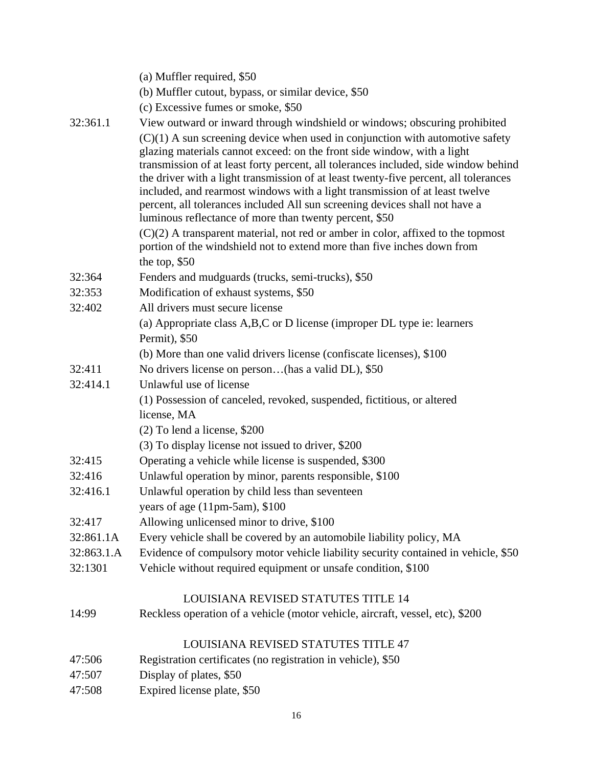|            | (a) Muffler required, \$50                                                                                                                                                                                                                                                                                                                                                                                                                                                                                                                                        |
|------------|-------------------------------------------------------------------------------------------------------------------------------------------------------------------------------------------------------------------------------------------------------------------------------------------------------------------------------------------------------------------------------------------------------------------------------------------------------------------------------------------------------------------------------------------------------------------|
|            | (b) Muffler cutout, bypass, or similar device, \$50                                                                                                                                                                                                                                                                                                                                                                                                                                                                                                               |
|            | (c) Excessive fumes or smoke, \$50                                                                                                                                                                                                                                                                                                                                                                                                                                                                                                                                |
| 32:361.1   | View outward or inward through windshield or windows; obscuring prohibited                                                                                                                                                                                                                                                                                                                                                                                                                                                                                        |
|            | $(C)(1)$ A sun screening device when used in conjunction with automotive safety<br>glazing materials cannot exceed: on the front side window, with a light<br>transmission of at least forty percent, all tolerances included, side window behind<br>the driver with a light transmission of at least twenty-five percent, all tolerances<br>included, and rearmost windows with a light transmission of at least twelve<br>percent, all tolerances included All sun screening devices shall not have a<br>luminous reflectance of more than twenty percent, \$50 |
|            | $(C)(2)$ A transparent material, not red or amber in color, affixed to the topmost<br>portion of the windshield not to extend more than five inches down from<br>the top, $$50$                                                                                                                                                                                                                                                                                                                                                                                   |
| 32:364     | Fenders and mudguards (trucks, semi-trucks), \$50                                                                                                                                                                                                                                                                                                                                                                                                                                                                                                                 |
| 32:353     | Modification of exhaust systems, \$50                                                                                                                                                                                                                                                                                                                                                                                                                                                                                                                             |
| 32:402     | All drivers must secure license                                                                                                                                                                                                                                                                                                                                                                                                                                                                                                                                   |
|            | (a) Appropriate class A,B,C or D license (improper DL type ie: learners                                                                                                                                                                                                                                                                                                                                                                                                                                                                                           |
|            | Permit), \$50                                                                                                                                                                                                                                                                                                                                                                                                                                                                                                                                                     |
|            | (b) More than one valid drivers license (confiscate licenses), \$100                                                                                                                                                                                                                                                                                                                                                                                                                                                                                              |
| 32:411     | No drivers license on person(has a valid DL), \$50                                                                                                                                                                                                                                                                                                                                                                                                                                                                                                                |
| 32:414.1   | Unlawful use of license                                                                                                                                                                                                                                                                                                                                                                                                                                                                                                                                           |
|            | (1) Possession of canceled, revoked, suspended, fictitious, or altered                                                                                                                                                                                                                                                                                                                                                                                                                                                                                            |
|            | license, MA                                                                                                                                                                                                                                                                                                                                                                                                                                                                                                                                                       |
|            | $(2)$ To lend a license, \$200                                                                                                                                                                                                                                                                                                                                                                                                                                                                                                                                    |
|            | (3) To display license not issued to driver, \$200                                                                                                                                                                                                                                                                                                                                                                                                                                                                                                                |
| 32:415     | Operating a vehicle while license is suspended, \$300                                                                                                                                                                                                                                                                                                                                                                                                                                                                                                             |
| 32:416     | Unlawful operation by minor, parents responsible, \$100                                                                                                                                                                                                                                                                                                                                                                                                                                                                                                           |
| 32:416.1   | Unlawful operation by child less than seventeen                                                                                                                                                                                                                                                                                                                                                                                                                                                                                                                   |
|            | years of age $(11pm-5am)$ , \$100                                                                                                                                                                                                                                                                                                                                                                                                                                                                                                                                 |
| 32:417     | Allowing unlicensed minor to drive, \$100                                                                                                                                                                                                                                                                                                                                                                                                                                                                                                                         |
| 32:861.1A  | Every vehicle shall be covered by an automobile liability policy, MA                                                                                                                                                                                                                                                                                                                                                                                                                                                                                              |
| 32:863.1.A | Evidence of compulsory motor vehicle liability security contained in vehicle, \$50                                                                                                                                                                                                                                                                                                                                                                                                                                                                                |
| 32:1301    | Vehicle without required equipment or unsafe condition, \$100                                                                                                                                                                                                                                                                                                                                                                                                                                                                                                     |
|            |                                                                                                                                                                                                                                                                                                                                                                                                                                                                                                                                                                   |
|            | <b>LOUISIANA REVISED STATUTES TITLE 14</b>                                                                                                                                                                                                                                                                                                                                                                                                                                                                                                                        |
| 14:99      | Reckless operation of a vehicle (motor vehicle, aircraft, vessel, etc), \$200                                                                                                                                                                                                                                                                                                                                                                                                                                                                                     |
|            | LOUISIANA REVISED STATUTES TITLE 47                                                                                                                                                                                                                                                                                                                                                                                                                                                                                                                               |
| 47:506     | Registration certificates (no registration in vehicle), \$50                                                                                                                                                                                                                                                                                                                                                                                                                                                                                                      |
| 47:507     | Display of plates, \$50                                                                                                                                                                                                                                                                                                                                                                                                                                                                                                                                           |
| 47:508     | Expired license plate, \$50                                                                                                                                                                                                                                                                                                                                                                                                                                                                                                                                       |